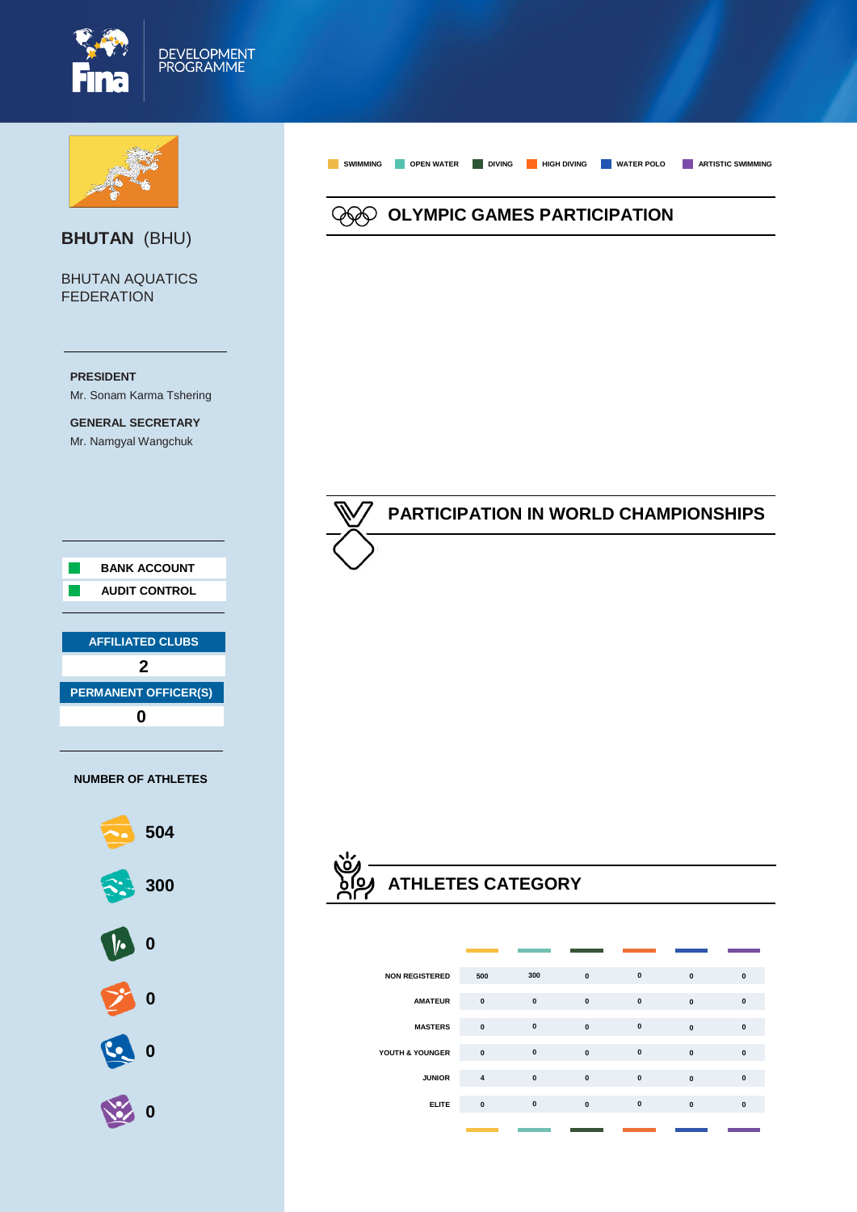



### **BHUTAN** (BHU)

BHUTAN AQUATICS **FEDERATION** 





**OLYMPIC GAMES PARTICIPATION**

**SWIMMING OPEN WATER DIVING HIGH DIVING WATER POLO ARTISTIC SWIMMING**

## **PARTICIPATION IN WORLD CHAMPIONSHIPS**

# **ATHLETES CATEGORY**

| <b>NON REGISTERED</b> | 500                     | 300       | $\mathbf{0}$ | $\mathbf{0}$ | $\mathbf{0}$ | $\bf{0}$     |
|-----------------------|-------------------------|-----------|--------------|--------------|--------------|--------------|
| <b>AMATEUR</b>        | $\mathbf{0}$            | $\pmb{0}$ | $\mathbf{0}$ | $\mathbf{0}$ | $\mathbf{0}$ | $\mathbf{0}$ |
| <b>MASTERS</b>        | $\mathbf{0}$            | $\pmb{0}$ | $\mathbf{0}$ | $\mathbf{0}$ | $\mathbf{0}$ | $\mathbf{0}$ |
| YOUTH & YOUNGER       | $\mathbf{0}$            | $\pmb{0}$ | $\mathbf{0}$ | $\pmb{0}$    | $\mathbf{0}$ | $\mathbf{0}$ |
| <b>JUNIOR</b>         | $\overline{\mathbf{4}}$ | $\pmb{0}$ | $\mathbf{0}$ | $\pmb{0}$    | $\mathbf{0}$ | $\mathbf{0}$ |
| <b>ELITE</b>          | $\pmb{0}$               | $\pmb{0}$ | $\mathbf{0}$ | $\mathbf{0}$ | $\bf{0}$     | $\mathbf{0}$ |
|                       |                         |           |              |              |              |              |